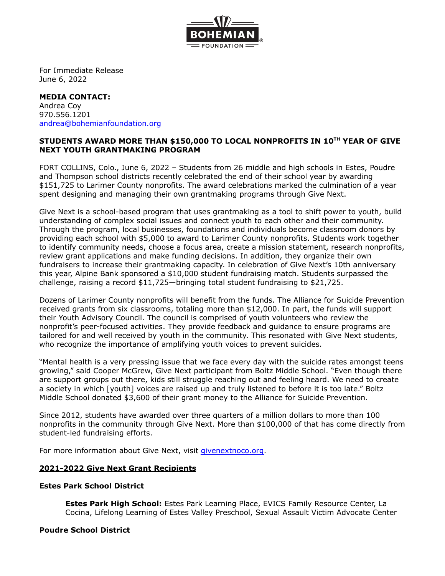

For Immediate Release June 6, 2022

#### **MEDIA CONTACT:** Andrea Coy 970.556.1201 [andrea@bohemianfoundation.org](mailto:andrea@bohemianfoundation.org)

# **STUDENTS AWARD MORE THAN \$150,000 TO LOCAL NONPROFITS IN 10 TH YEAR OF GIVE NEXT YOUTH GRANTMAKING PROGRAM**

FORT COLLINS, Colo., June 6, 2022 – Students from 26 middle and high schools in Estes, Poudre and Thompson school districts recently celebrated the end of their school year by awarding \$151,725 to Larimer County nonprofits. The award celebrations marked the culmination of a year spent designing and managing their own grantmaking programs through Give Next.

Give Next is a school-based program that uses grantmaking as a tool to shift power to youth, build understanding of complex social issues and connect youth to each other and their community. Through the program, local businesses, foundations and individuals become classroom donors by providing each school with \$5,000 to award to Larimer County nonprofits. Students work together to identify community needs, choose a focus area, create a mission statement, research nonprofits, review grant applications and make funding decisions. In addition, they organize their own fundraisers to increase their grantmaking capacity. In celebration of Give Next's 10th anniversary this year, Alpine Bank sponsored a \$10,000 student fundraising match. Students surpassed the challenge, raising a record \$11,725—bringing total student fundraising to \$21,725.

Dozens of Larimer County nonprofits will benefit from the funds. The Alliance for Suicide Prevention received grants from six classrooms, totaling more than \$12,000. In part, the funds will support their Youth Advisory Council. The council is comprised of youth volunteers who review the nonprofit's peer-focused activities. They provide feedback and guidance to ensure programs are tailored for and well received by youth in the community. This resonated with Give Next students, who recognize the importance of amplifying youth voices to prevent suicides.

"Mental health is a very pressing issue that we face every day with the suicide rates amongst teens growing," said Cooper McGrew, Give Next participant from Boltz Middle School. "Even though there are support groups out there, kids still struggle reaching out and feeling heard. We need to create a society in which [youth] voices are raised up and truly listened to before it is too late." Boltz Middle School donated \$3,600 of their grant money to the Alliance for Suicide Prevention.

Since 2012, students have awarded over three quarters of a million dollars to more than 100 nonprofits in the community through Give Next. More than \$100,000 of that has come directly from student-led fundraising efforts.

For more information about Give Next, visit [givenextnoco.org](http://givenextnoco.org/).

## **2021-2022 Give Next Grant Recipients**

## **Estes Park School District**

**Estes Park High School:** Estes Park Learning Place, EVICS Family Resource Center, La Cocina, Lifelong Learning of Estes Valley Preschool, Sexual Assault Victim Advocate Center

#### **Poudre School District**